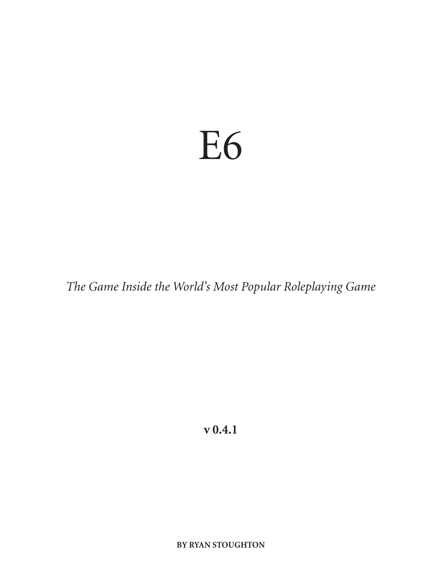# E6

*The Game Inside the World's Most Popular Roleplaying Game*

**v 0.4.1**

**BY RYAN STOUGHTON**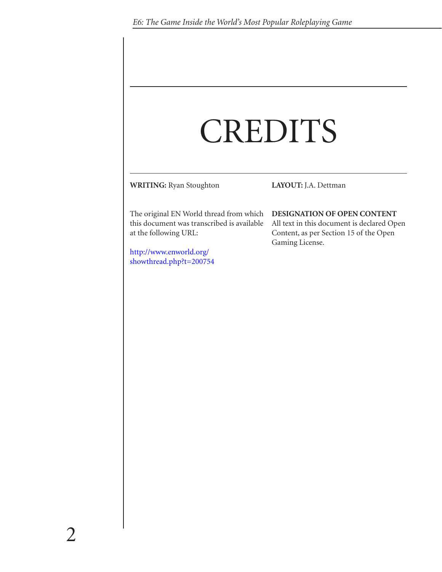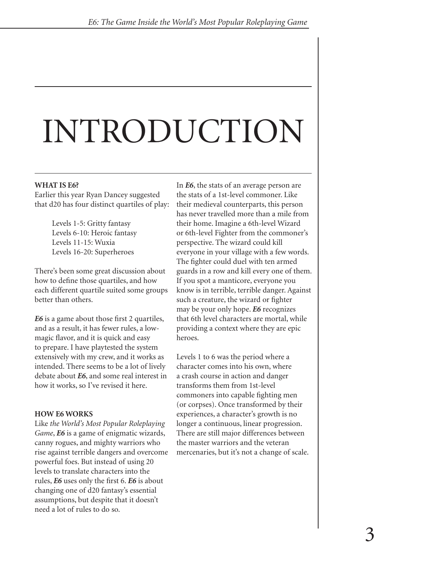# INTRODUCTION

#### **WHAT IS E6?**

Earlier this year Ryan Dancey suggested that d20 has four distinct quartiles of play:

> Levels 1-5: Gritty fantasy Levels 6-10: Heroic fantasy Levels 11-15: Wuxia Levels 16-20: Superheroes

There's been some great discussion about how to define those quartiles, and how each different quartile suited some groups better than others.

*E6* is a game about those first 2 quartiles, and as a result, it has fewer rules, a lowmagic flavor, and it is quick and easy to prepare. I have playtested the system extensively with my crew, and it works as intended. There seems to be a lot of lively debate about *E6*, and some real interest in how it works, so I've revised it here.

#### **HOW E6 WORKS**

Like *the World's Most Popular Roleplaying Game*, *E6* is a game of enigmatic wizards, canny rogues, and mighty warriors who rise against terrible dangers and overcome powerful foes. But instead of using 20 levels to translate characters into the rules, *E6* uses only the first 6. *E6* is about changing one of d20 fantasy's essential assumptions, but despite that it doesn't need a lot of rules to do so.

In *E6*, the stats of an average person are the stats of a 1st-level commoner. Like their medieval counterparts, this person has never travelled more than a mile from their home. Imagine a 6th-level Wizard or 6th-level Fighter from the commoner's perspective. The wizard could kill everyone in your village with a few words. The fighter could duel with ten armed guards in a row and kill every one of them. If you spot a manticore, everyone you know is in terrible, terrible danger. Against such a creature, the wizard or fighter may be your only hope. *E6* recognizes that 6th level characters are mortal, while providing a context where they are epic heroes.

Levels 1 to 6 was the period where a character comes into his own, where a crash course in action and danger transforms them from 1st-level commoners into capable fighting men (or corpses). Once transformed by their experiences, a character's growth is no longer a continuous, linear progression. There are still major differences between the master warriors and the veteran mercenaries, but it's not a change of scale.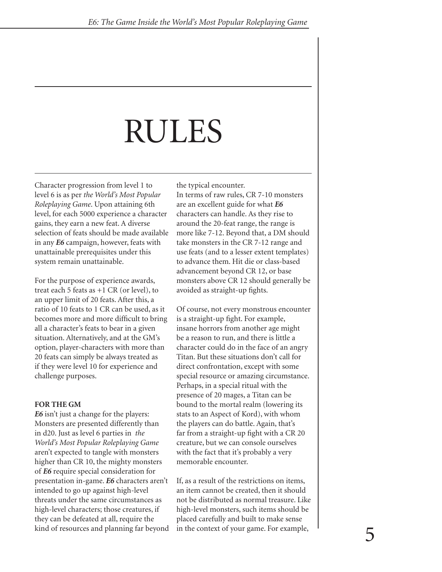## RULES

Character progression from level 1 to level 6 is as per *the World's Most Popular Roleplaying Game*. Upon attaining 6th level, for each 5000 experience a character gains, they earn a new feat. A diverse selection of feats should be made available in any *E6* campaign, however, feats with unattainable prerequisites under this system remain unattainable.

For the purpose of experience awards, treat each 5 feats as  $+1$  CR (or level), to an upper limit of 20 feats. After this, a ratio of 10 feats to 1 CR can be used, as it becomes more and more difficult to bring all a character's feats to bear in a given situation. Alternatively, and at the GM's option, player-characters with more than 20 feats can simply be always treated as if they were level 10 for experience and challenge purposes.

#### **FOR THE GM**

*E6* isn't just a change for the players: Monsters are presented differently than in d20. Just as level 6 parties in *the World's Most Popular Roleplaying Game*  aren't expected to tangle with monsters higher than CR 10, the mighty monsters of *E6* require special consideration for presentation in-game. *E6* characters aren't intended to go up against high-level threats under the same circumstances as high-level characters; those creatures, if they can be defeated at all, require the kind of resources and planning far beyond the typical encounter. In terms of raw rules, CR 7-10 monsters are an excellent guide for what *E6* characters can handle. As they rise to around the 20-feat range, the range is more like 7-12. Beyond that, a DM should take monsters in the CR 7-12 range and use feats (and to a lesser extent templates) to advance them. Hit die or class-based advancement beyond CR 12, or base monsters above CR 12 should generally be avoided as straight-up fights.

Of course, not every monstrous encounter is a straight-up fight. For example, insane horrors from another age might be a reason to run, and there is little a character could do in the face of an angry Titan. But these situations don't call for direct confrontation, except with some special resource or amazing circumstance. Perhaps, in a special ritual with the presence of 20 mages, a Titan can be bound to the mortal realm (lowering its stats to an Aspect of Kord), with whom the players can do battle. Again, that's far from a straight-up fight with a CR 20 creature, but we can console ourselves with the fact that it's probably a very memorable encounter.

If, as a result of the restrictions on items, an item cannot be created, then it should not be distributed as normal treasure. Like high-level monsters, such items should be placed carefully and built to make sense in the context of your game. For example,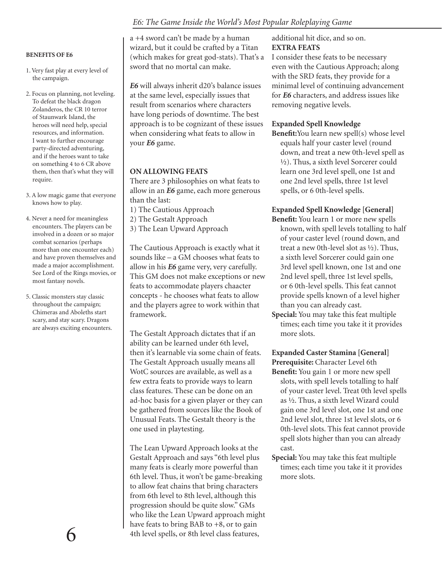#### **BENEFITS OF E6**

- 1. Very fast play at every level of the campaign.
- 2. Focus on planning, not leveling. To defeat the black dragon Zolanderos, the CR 10 terror of Staunwark Island, the heroes will need help, special resources, and information. I want to further encourage party-directed adventuring, and if the heroes want to take on something 4 to 6 CR above them, then that's what they will require.
- 3. A low magic game that everyone knows how to play.
- 4. Never a need for meaningless encounters. The players can be involved in a dozen or so major combat scenarios (perhaps more than one encounter each) and have proven themselves and made a major accomplishment. See Lord of the Rings movies, or most fantasy novels.
- 5. Classic monsters stay classic throughout the campaign; Chimeras and Aboleths start scary, and stay scary. Dragons are always exciting encounters.

a +4 sword can't be made by a human wizard, but it could be crafted by a Titan (which makes for great god-stats). That's a sword that no mortal can make.

*E6* will always inherit d20's balance issues at the same level, especially issues that result from scenarios where characters have long periods of downtime. The best approach is to be cognizant of these issues when considering what feats to allow in your *E6* game.

#### **ON ALLOWING FEATS**

There are 3 philosophies on what feats to allow in an *E6* game, each more generous than the last:

- 1) The Cautious Approach
- 2) The Gestalt Approach
- 3) The Lean Upward Approach

The Cautious Approach is exactly what it sounds like – a GM chooses what feats to allow in his *E6* game very, very carefully. This GM does not make exceptions or new feats to accommodate players chaacter concepts - he chooses what feats to allow and the players agree to work within that framework.

The Gestalt Approach dictates that if an ability can be learned under 6th level, then it's learnable via some chain of feats. The Gestalt Approach usually means all WotC sources are available, as well as a few extra feats to provide ways to learn class features. These can be done on an ad-hoc basis for a given player or they can be gathered from sources like the Book of Unusual Feats. The Gestalt theory is the one used in playtesting.

The Lean Upward Approach looks at the Gestalt Approach and says "6th level plus many feats is clearly more powerful than 6th level. Thus, it won't be game-breaking to allow feat chains that bring characters from 6th level to 8th level, although this progression should be quite slow." GMs who like the Lean Upward approach might have feats to bring BAB to +8, or to gain 4th level spells, or 8th level class features,

additional hit dice, and so on. **EXTRA FEATS**

#### I consider these feats to be necessary even with the Cautious Approach; along with the SRD feats, they provide for a minimal level of continuing advancement for *E6* characters, and address issues like removing negative levels.

#### **Expanded Spell Knowledge**

**Benefit:**You learn new spell(s) whose level equals half your caster level (round down, and treat a new 0th-level spell as 1⁄2). Thus, a sixth level Sorcerer could learn one 3rd level spell, one 1st and one 2nd level spells, three 1st level spells, or 6 0th-level spells.

#### **Expanded Spell Knowledge [General]**

- **Benefit:** You learn 1 or more new spells known, with spell levels totalling to half of your caster level (round down, and treat a new 0th-level slot as 1⁄2). Thus, a sixth level Sorcerer could gain one 3rd level spell known, one 1st and one 2nd level spell, three 1st level spells, or 6 0th-level spells. This feat cannot provide spells known of a level higher than you can already cast.
- **Special:** You may take this feat multiple times; each time you take it it provides more slots.

#### **Expanded Caster Stamina [General] Prerequisite:** Character Level 6th

- **Benefit:** You gain 1 or more new spell slots, with spell levels totalling to half of your caster level. Treat 0th level spells as 1⁄2. Thus, a sixth level Wizard could gain one 3rd level slot, one 1st and one 2nd level slot, three 1st level slots, or 6 0th-level slots. This feat cannot provide spell slots higher than you can already cast.
- **Special:** You may take this feat multiple times; each time you take it it provides more slots.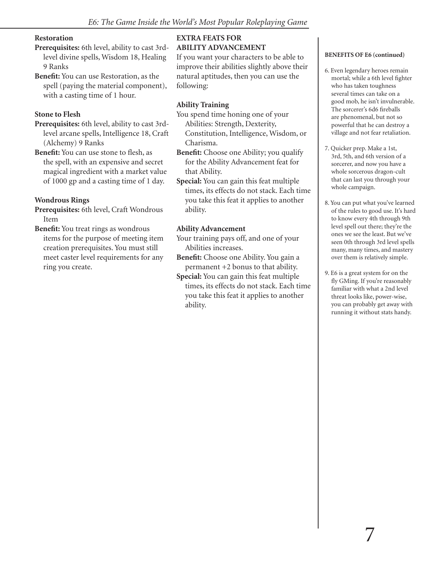#### **Restoration**

- **Prerequisites:** 6th level, ability to cast 3rdlevel divine spells, Wisdom 18, Healing 9 Ranks
- **Benefit:** You can use Restoration, as the spell (paying the material component), with a casting time of 1 hour.

#### **Stone to Flesh**

- **Prerequisites:** 6th level, ability to cast 3rdlevel arcane spells, Intelligence 18, Craft (Alchemy) 9 Ranks
- **Benefit:** You can use stone to flesh, as the spell, with an expensive and secret magical ingredient with a market value of 1000 gp and a casting time of 1 day.

#### **Wondrous Rings**

- **Prerequisites:** 6th level, Craft Wondrous Item
- **Benefit:** You treat rings as wondrous items for the purpose of meeting item creation prerequisites. You must still meet caster level requirements for any ring you create.

#### **EXTRA FEATS FOR ABILITY ADVANCEMENT**

If you want your characters to be able to improve their abilities slightly above their natural aptitudes, then you can use the following:

### **Ability Training**

You spend time honing one of your Abilities: Strength, Dexterity, Constitution, Intelligence, Wisdom, or Charisma.

- **Benefit:** Choose one Ability; you qualify for the Ability Advancement feat for that Ability.
- **Special:** You can gain this feat multiple times, its effects do not stack. Each time you take this feat it applies to another ability.

#### **Ability Advancement**

- Your training pays off, and one of your Abilities increases.
- **Benefit:** Choose one Ability. You gain a permanent +2 bonus to that ability.
- **Special:** You can gain this feat multiple times, its effects do not stack. Each time you take this feat it applies to another ability.

#### **BENEFITS OF E6 (continued)**

- 6. Even legendary heroes remain mortal; while a 6th level fighter who has taken toughness several times can take on a good mob, he isn't invulnerable. The sorcerer's 6d6 fireballs are phenomenal, but not so powerful that he can destroy a village and not fear retaliation.
- 7. Quicker prep. Make a 1st, 3rd, 5th, and 6th version of a sorcerer, and now you have a whole sorcerous dragon-cult that can last you through your whole campaign.
- 8. You can put what you've learned of the rules to good use. It's hard to know every 4th through 9th level spell out there; they're the ones we see the least. But we've seen 0th through 3rd level spells many, many times, and mastery over them is relatively simple.
- 9. E6 is a great system for on the fly GMing. If you're reasonably familiar with what a 2nd level threat looks like, power-wise, you can probably get away with running it without stats handy.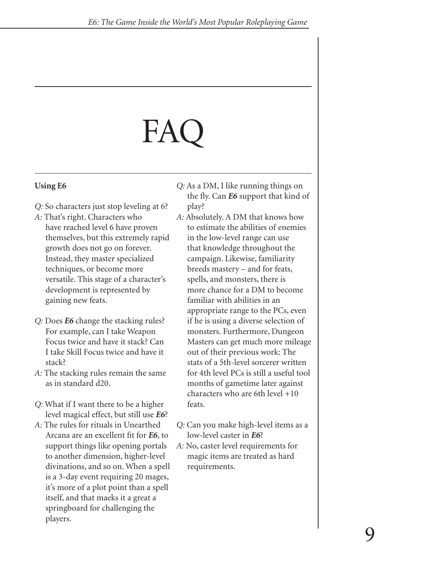# $FAC$

## **Using E6**

- *Q:* So characters just stop leveling at 6?
- *A:* That's right. Characters who have reached level 6 have proven themselves, but this extremely rapid growth does not go on forever. Instead, they master specialized techniques, or become more versatile. This stage of a character's development is represented by gaining new feats.
- *Q:* Does *E6* change the stacking rules? For example, can I take Weapon Focus twice and have it stack? Can I take Skill Focus twice and have it stack?
- *A:* The stacking rules remain the same as in standard d20.
- *Q:* What if I want there to be a higher level magical effect, but still use *E6*?
- *A:* The rules for rituals in Unearthed Arcana are an excellent fit for *E6*, to support things like opening portals to another dimension, higher-level divinations, and so on. When a spell is a 3-day event requiring 20 mages, it's more of a plot point than a spell itself, and that maeks it a great a springboard for challenging the players.

*Q:* As a DM, I like running things on the fly. Can *E6* support that kind of play?

- *A:* Absolutely. A DM that knows how to estimate the abilities of enemies in the low-level range can use that knowledge throughout the campaign. Likewise, familiarity breeds mastery – and for feats, spells, and monsters, there is more chance for a DM to become familiar with abilities in an appropriate range to the PCs, even if he is using a diverse selection of monsters. Furthermore, Dungeon Masters can get much more mileage out of their previous work: The stats of a 5th-level sorcerer written for 4th level PCs is still a useful tool months of gametime later against characters who are 6th level +10 feats.
- *Q:* Can you make high-level items as a low-level caster in *E6*?
- *A:* No, caster level requirements for magic items are treated as hard requirements.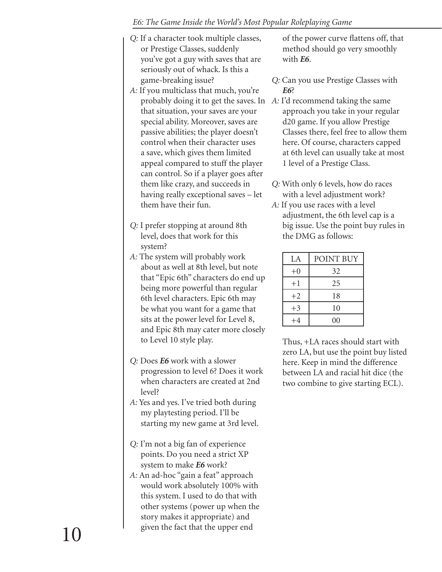- *Q:* If a character took multiple classes, or Prestige Classes, suddenly you've got a guy with saves that are seriously out of whack. Is this a game-breaking issue?
- *A:* If you multiclass that much, you're probably doing it to get the saves. In *A:* I'd recommend taking the same that situation, your saves are your special ability. Moreover, saves are passive abilities; the player doesn't control when their character uses a save, which gives them limited appeal compared to stuff the player can control. So if a player goes after them like crazy, and succeeds in having really exceptional saves – let them have their fun.
- *Q:* I prefer stopping at around 8th level, does that work for this system?
- *A:* The system will probably work about as well at 8th level, but note that "Epic 6th" characters do end up being more powerful than regular 6th level characters. Epic 6th may be what you want for a game that sits at the power level for Level 8, and Epic 8th may cater more closely to Level 10 style play.
- *Q:* Does *E6* work with a slower progression to level 6? Does it work when characters are created at 2nd level?
- *A:* Yes and yes. I've tried both during my playtesting period. I'll be starting my new game at 3rd level.
- *Q:* I'm not a big fan of experience points. Do you need a strict XP system to make *E6* work?
- *A:* An ad-hoc "gain a feat" approach would work absolutely 100% with this system. I used to do that with other systems (power up when the story makes it appropriate) and given the fact that the upper end

of the power curve flattens off, that method should go very smoothly with *E6*.

- *Q:* Can you use Prestige Classes with *E6*?
- approach you take in your regular d20 game. If you allow Prestige Classes there, feel free to allow them here. Of course, characters capped at 6th level can usually take at most 1 level of a Prestige Class.
- *Q:* With only 6 levels, how do races with a level adjustment work?
- *A:* If you use races with a level adjustment, the 6th level cap is a big issue. Use the point buy rules in the DMG as follows:

| LA.  | POINT BUY      |
|------|----------------|
| $+0$ | 32             |
| $+1$ | 25             |
| $+2$ | 18             |
| $+3$ | 10             |
| $+4$ | 0 <sub>0</sub> |

Thus, +LA races should start with zero LA, but use the point buy listed here. Keep in mind the difference between LA and racial hit dice (the two combine to give starting ECL).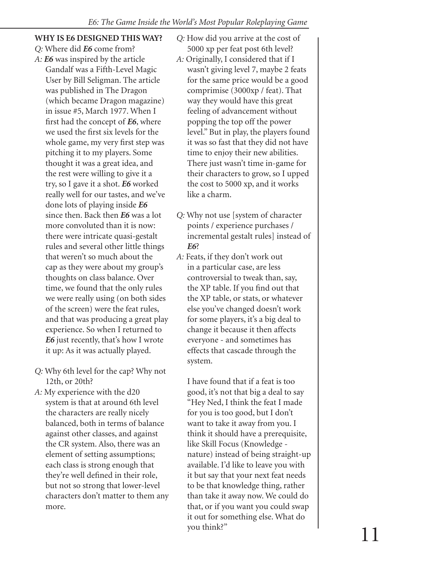### **WHY IS E6 DESIGNED THIS WAY?**

- *Q:* Where did *E6* come from?
- *A: E6* was inspired by the article Gandalf was a Fifth-Level Magic User by Bill Seligman. The article was published in The Dragon (which became Dragon magazine) in issue #5, March 1977. When I first had the concept of *E6*, where we used the first six levels for the whole game, my very first step was pitching it to my players. Some thought it was a great idea, and the rest were willing to give it a try, so I gave it a shot. *E6* worked really well for our tastes, and we've done lots of playing inside *E6* since then. Back then *E6* was a lot more convoluted than it is now: there were intricate quasi-gestalt rules and several other little things that weren't so much about the cap as they were about my group's thoughts on class balance. Over time, we found that the only rules we were really using (on both sides of the screen) were the feat rules, and that was producing a great play experience. So when I returned to *E6* just recently, that's how I wrote it up: As it was actually played.
- *Q:* Why 6th level for the cap? Why not 12th, or 20th?
- *A:* My experience with the d20 system is that at around 6th level the characters are really nicely balanced, both in terms of balance against other classes, and against the CR system. Also, there was an element of setting assumptions; each class is strong enough that they're well defined in their role, but not so strong that lower-level characters don't matter to them any more.
- *Q:* How did you arrive at the cost of 5000 xp per feat post 6th level?
- *A:* Originally, I considered that if I wasn't giving level 7, maybe 2 feats for the same price would be a good comprimise (3000xp / feat). That way they would have this great feeling of advancement without popping the top off the power level." But in play, the players found it was so fast that they did not have time to enjoy their new abilities. There just wasn't time in-game for their characters to grow, so I upped the cost to 5000 xp, and it works like a charm.
- *Q:* Why not use [system of character points / experience purchases / incremental gestalt rules] instead of *E6*?
- *A:* Feats, if they don't work out in a particular case, are less controversial to tweak than, say, the XP table. If you find out that the XP table, or stats, or whatever else you've changed doesn't work for some players, it's a big deal to change it because it then affects everyone - and sometimes has effects that cascade through the system.

I have found that if a feat is too good, it's not that big a deal to say "Hey Ned, I think the feat I made for you is too good, but I don't want to take it away from you. I think it should have a prerequisite, like Skill Focus (Knowledge nature) instead of being straight-up available. I'd like to leave you with it but say that your next feat needs to be that knowledge thing, rather than take it away now. We could do that, or if you want you could swap it out for something else. What do you think?"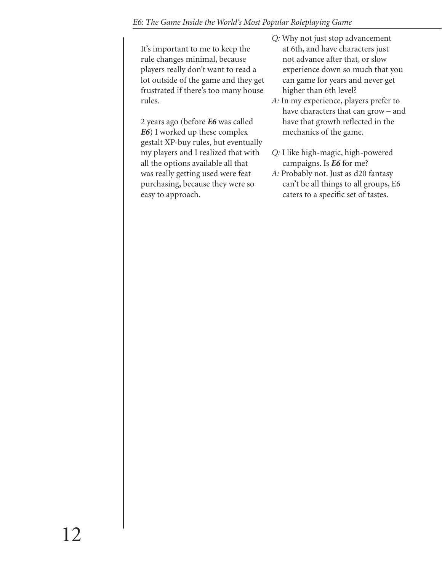It's important to me to keep the rule changes minimal, because players really don't want to read a lot outside of the game and they get frustrated if there's too many house rules.

2 years ago (before *E6* was called *E6*) I worked up these complex gestalt XP-buy rules, but eventually my players and I realized that with all the options available all that was really getting used were feat purchasing, because they were so easy to approach.

- *Q:* Why not just stop advancement at 6th, and have characters just not advance after that, or slow experience down so much that you can game for years and never get higher than 6th level?
- *A:* In my experience, players prefer to have characters that can grow – and have that growth reflected in the mechanics of the game.
- *Q:* I like high-magic, high-powered campaigns. Is *E6* for me?
- *A:* Probably not. Just as d20 fantasy can't be all things to all groups, E6 caters to a specific set of tastes.